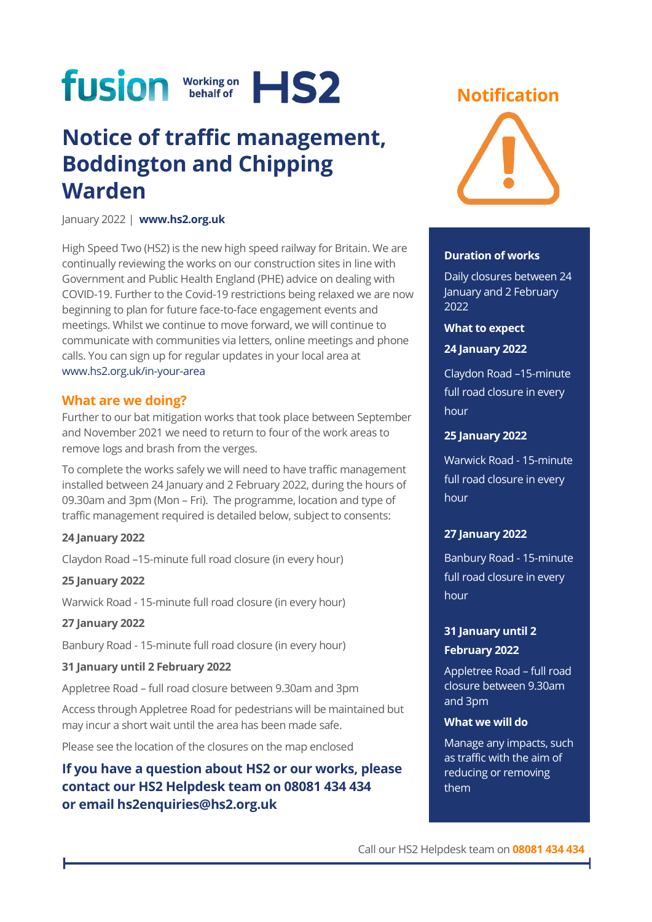

January 2022 | **[www.hs2.org.uk](http://www.hs2.org.uk/)**

High Speed Two (HS2) is the new high speed railway for Britain. We are continually reviewing the works on our construction sites in line with Government and Public Health England (PHE) advice on dealing with COVID-19. Further to the Covid-19 restrictions being relaxed we are now beginning to plan for future face-to-face engagement events and meetings. Whilst we continue to move forward, we will continue to communicate with communities via letters, online meetings and phone calls. You can sign up for regular updates in your local area at [www.hs2.org.uk/in-your-area](http://www.hs2.org.uk/in-your-area)

### **What are we doing?**

Further to our bat mitigation works that took place between September and November 2021 we need to return to four of the work areas to remove logs and brash from the verges.

To complete the works safely we will need to have traffic management installed between 24 January and 2 February 2022, during the hours of 09.30am and 3pm (Mon – Fri). The programme, location and type of traffic management required is detailed below, subject to consents:

### **24 January 2022**

Claydon Road –15-minute full road closure (in every hour)

### **25 January 2022**

Warwick Road - 15-minute full road closure (in every hour)

### **27 January 2022**

Banbury Road - 15-minute full road closure (in every hour)

### **31 January until 2 February 2022**

Appletree Road – full road closure between 9.30am and 3pm

Access through Appletree Road for pedestrians will be maintained but may incur a short wait until the area has been made safe.

Please see the location of the closures on the map enclosed

### **If you have a question about HS2 or our works, please contact our HS2 Helpdesk team on 08081 434 434 or email hs2enquiries@hs2.org.uk**

### **Notification**



#### **Duration of works**

Daily closures between 24 January and 2 February 2022

**What to expect**

**24 January 2022**

Claydon Road –15-minute full road closure in every hour

### **25 January 2022**

Warwick Road - 15-minute full road closure in every hour

### **27 January 2022**

Banbury Road - 15-minute full road closure in every hour

### **31 January until 2 February 2022**

Appletree Road – full road closure between 9.30am and 3pm

### **What we will do**

Manage any impacts, such as traffic with the aim of reducing or removing them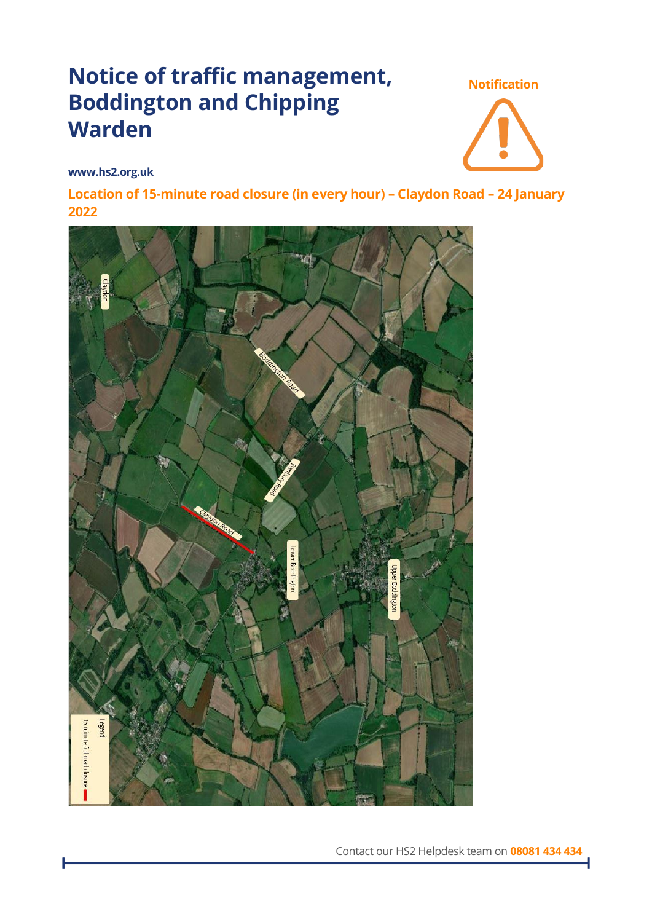**Notification**



**www.hs2.org.uk**

**Location of 15-minute road closure (in every hour) – Claydon Road – 24 January 2022**

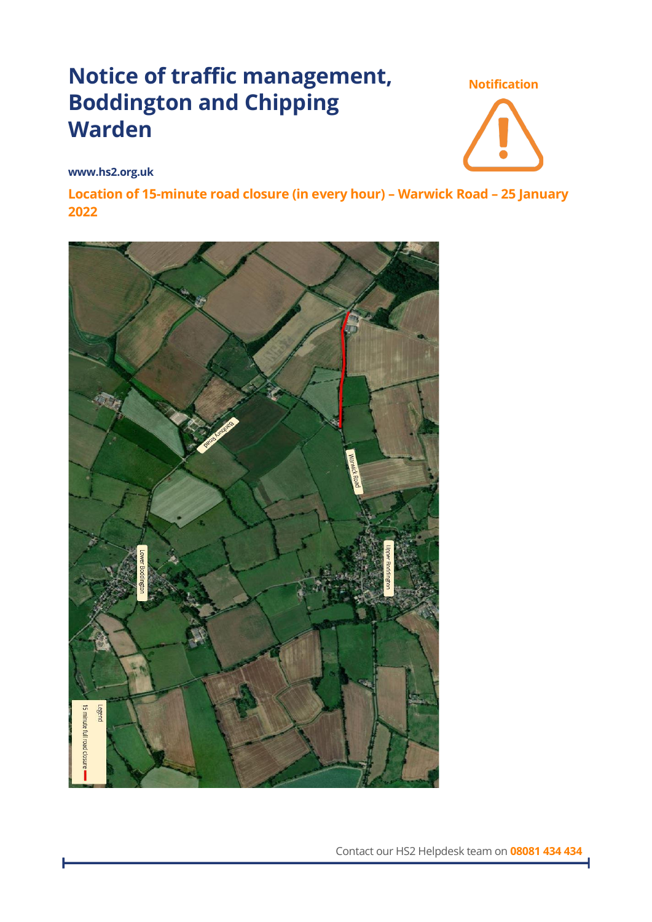**Notification**



**www.hs2.org.uk**

**Location of 15-minute road closure (in every hour) – Warwick Road – 25 January 2022**

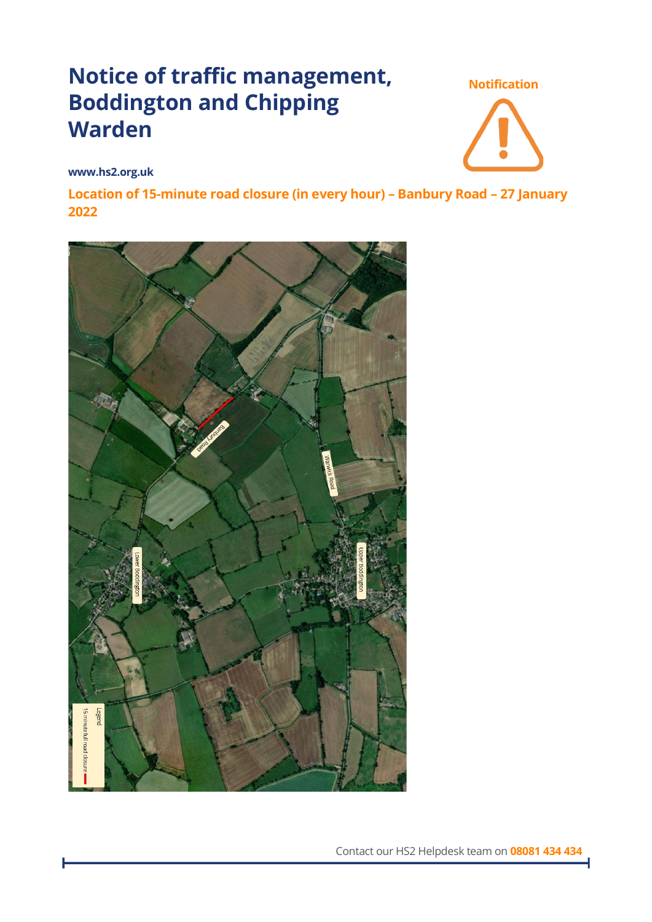**Notification**



**www.hs2.org.uk**

**Location of 15-minute road closure (in every hour) – Banbury Road – 27 January 2022**



Contact our HS2 Helpdesk team on **08081 434 434**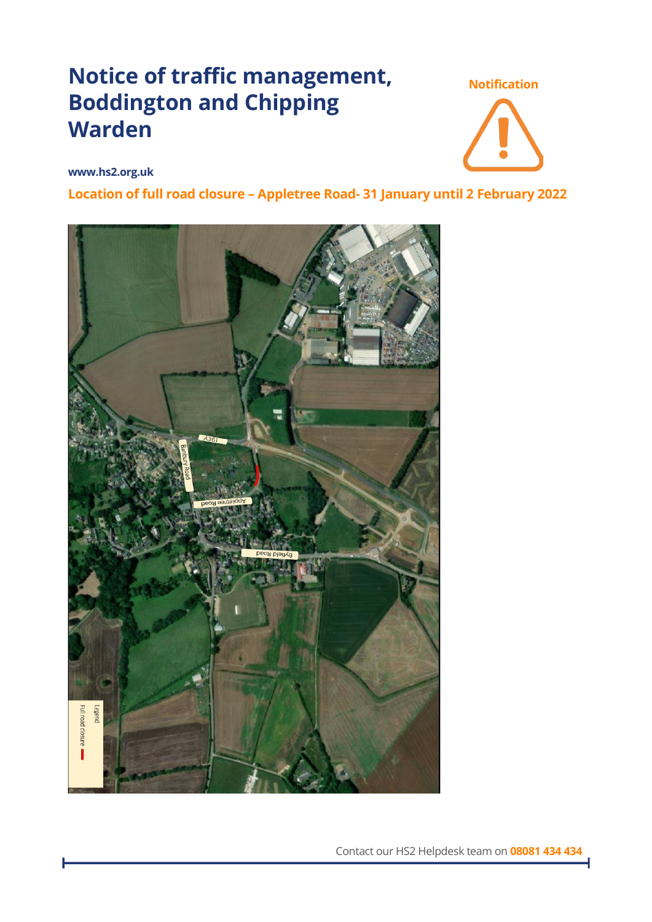**Notification**



**www.hs2.org.uk**

**Location of full road closure – Appletree Road- 31 January until 2 February 2022**



Contact our HS2 Helpdesk team on **08081 434 434**